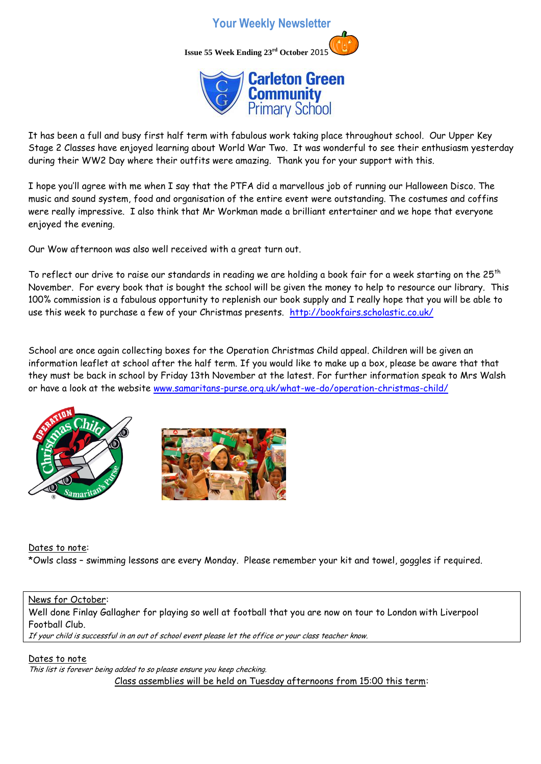



It has been a full and busy first half term with fabulous work taking place throughout school. Our Upper Key Stage 2 Classes have enjoyed learning about World War Two. It was wonderful to see their enthusiasm yesterday during their WW2 Day where their outfits were amazing. Thank you for your support with this.

I hope you'll agree with me when I say that the PTFA did a marvellous job of running our Halloween Disco. The music and sound system, food and organisation of the entire event were outstanding. The costumes and coffins were really impressive. I also think that Mr Workman made a brilliant entertainer and we hope that everyone enjoyed the evening.

Our Wow afternoon was also well received with a great turn out.

To reflect our drive to raise our standards in reading we are holding a book fair for a week starting on the 25th November. For every book that is bought the school will be given the money to help to resource our library. This 100% commission is a fabulous opportunity to replenish our book supply and I really hope that you will be able to use this week to purchase a few of your Christmas presents. <http://bookfairs.scholastic.co.uk/>

School are once again collecting boxes for the Operation Christmas Child appeal. Children will be given an information leaflet at school after the half term. If you would like to make up a box, please be aware that that they must be back in school by Friday 13th November at the latest. For further information speak to Mrs Walsh or have a look at the website [www.samaritans-purse.org.uk/what-we-do/operation-christmas-child/](http://www.samaritans-purse.org.uk/what-we-do/operation-christmas-child/)





Dates to note:

\*Owls class – swimming lessons are every Monday. Please remember your kit and towel, goggles if required.

## News for October:

Well done Finlay Gallagher for playing so well at football that you are now on tour to London with Liverpool Football Club.

If your child is successful in an out of school event please let the office or your class teacher know.

Dates to note This list is forever being added to so please ensure you keep checking. Class assemblies will be held on Tuesday afternoons from 15:00 this term: